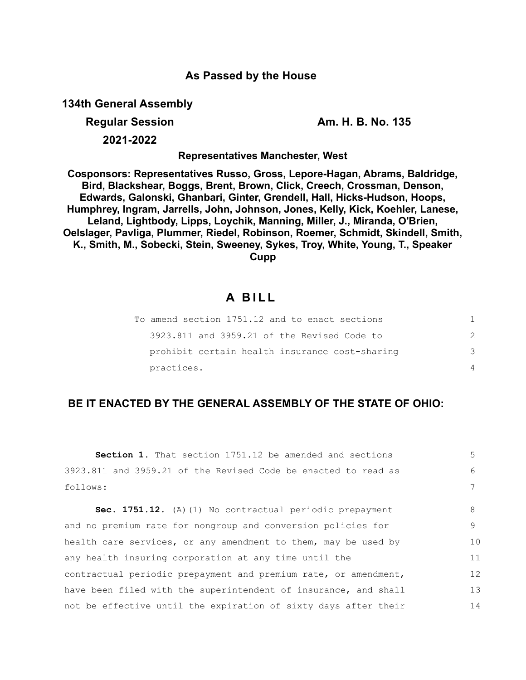## **As Passed by the House**

**134th General Assembly**

**Regular Session Am. H. B. No. 135**

**2021-2022**

**Representatives Manchester, West**

**Cosponsors: Representatives Russo, Gross, Lepore-Hagan, Abrams, Baldridge, Bird, Blackshear, Boggs, Brent, Brown, Click, Creech, Crossman, Denson, Edwards, Galonski, Ghanbari, Ginter, Grendell, Hall, Hicks-Hudson, Hoops, Humphrey, Ingram, Jarrells, John, Johnson, Jones, Kelly, Kick, Koehler, Lanese, Leland, Lightbody, Lipps, Loychik, Manning, Miller, J., Miranda, O'Brien, Oelslager, Pavliga, Plummer, Riedel, Robinson, Roemer, Schmidt, Skindell, Smith, K., Smith, M., Sobecki, Stein, Sweeney, Sykes, Troy, White, Young, T., Speaker Cupp**

# **A B I L L**

| To amend section 1751.12 and to enact sections |   |
|------------------------------------------------|---|
| 3923.811 and 3959.21 of the Revised Code to    | 2 |
| prohibit certain health insurance cost-sharing | 3 |
| practices.                                     | 4 |

# **BE IT ENACTED BY THE GENERAL ASSEMBLY OF THE STATE OF OHIO:**

| Section 1. That section 1751.12 be amended and sections         | $5 -$ |
|-----------------------------------------------------------------|-------|
| 3923.811 and 3959.21 of the Revised Code be enacted to read as  | 6     |
| follows:                                                        | 7     |
| Sec. 1751.12. (A) (1) No contractual periodic prepayment        | 8     |
| and no premium rate for nongroup and conversion policies for    | 9     |
| health care services, or any amendment to them, may be used by  | 10    |
| any health insuring corporation at any time until the           | 11    |
| contractual periodic prepayment and premium rate, or amendment, | 12    |
| have been filed with the superintendent of insurance, and shall | 13    |
| not be effective until the expiration of sixty days after their | 14    |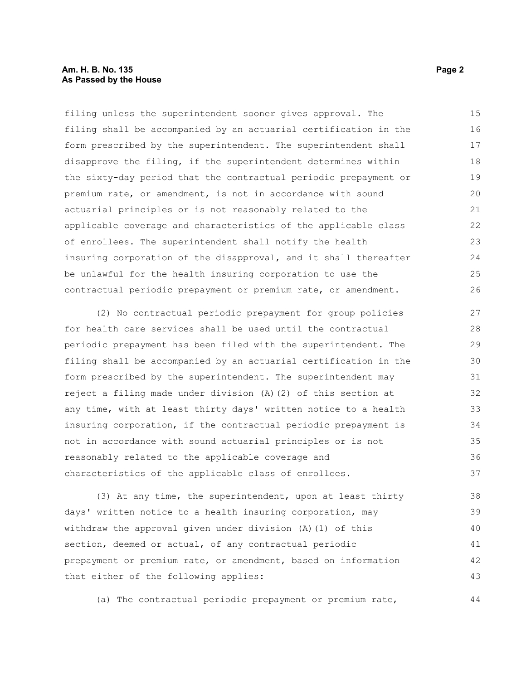### **Am. H. B. No. 135 Page 2 As Passed by the House**

filing unless the superintendent sooner gives approval. The filing shall be accompanied by an actuarial certification in the form prescribed by the superintendent. The superintendent shall disapprove the filing, if the superintendent determines within the sixty-day period that the contractual periodic prepayment or premium rate, or amendment, is not in accordance with sound actuarial principles or is not reasonably related to the applicable coverage and characteristics of the applicable class of enrollees. The superintendent shall notify the health insuring corporation of the disapproval, and it shall thereafter be unlawful for the health insuring corporation to use the contractual periodic prepayment or premium rate, or amendment. 15 16 17 18 19 20 21 22 23 24 25 26

(2) No contractual periodic prepayment for group policies for health care services shall be used until the contractual periodic prepayment has been filed with the superintendent. The filing shall be accompanied by an actuarial certification in the form prescribed by the superintendent. The superintendent may reject a filing made under division (A)(2) of this section at any time, with at least thirty days' written notice to a health insuring corporation, if the contractual periodic prepayment is not in accordance with sound actuarial principles or is not reasonably related to the applicable coverage and characteristics of the applicable class of enrollees. 27 28 29 30 31 32 33 34 35 36 37

(3) At any time, the superintendent, upon at least thirty days' written notice to a health insuring corporation, may withdraw the approval given under division (A)(1) of this section, deemed or actual, of any contractual periodic prepayment or premium rate, or amendment, based on information that either of the following applies: 38 39 40 41 42 43

(a) The contractual periodic prepayment or premium rate,

44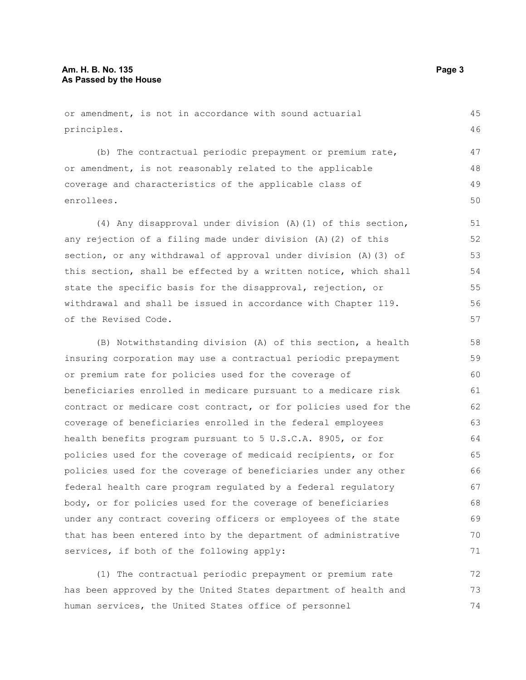or amendment, is not in accordance with sound actuarial principles. (b) The contractual periodic prepayment or premium rate, or amendment, is not reasonably related to the applicable coverage and characteristics of the applicable class of enrollees. (4) Any disapproval under division (A)(1) of this section, any rejection of a filing made under division (A)(2) of this section, or any withdrawal of approval under division (A)(3) of this section, shall be effected by a written notice, which shall state the specific basis for the disapproval, rejection, or withdrawal and shall be issued in accordance with Chapter 119. of the Revised Code. (B) Notwithstanding division (A) of this section, a health insuring corporation may use a contractual periodic prepayment or premium rate for policies used for the coverage of beneficiaries enrolled in medicare pursuant to a medicare risk contract or medicare cost contract, or for policies used for the coverage of beneficiaries enrolled in the federal employees health benefits program pursuant to 5 U.S.C.A. 8905, or for policies used for the coverage of medicaid recipients, or for 45 46 47 48 49 50 51 52 53 54 55 56 57 58 59 60 61 62 63 64 65

policies used for the coverage of beneficiaries under any other federal health care program regulated by a federal regulatory body, or for policies used for the coverage of beneficiaries under any contract covering officers or employees of the state that has been entered into by the department of administrative services, if both of the following apply: 66 67 68 69 70 71

(1) The contractual periodic prepayment or premium rate has been approved by the United States department of health and human services, the United States office of personnel 72 73 74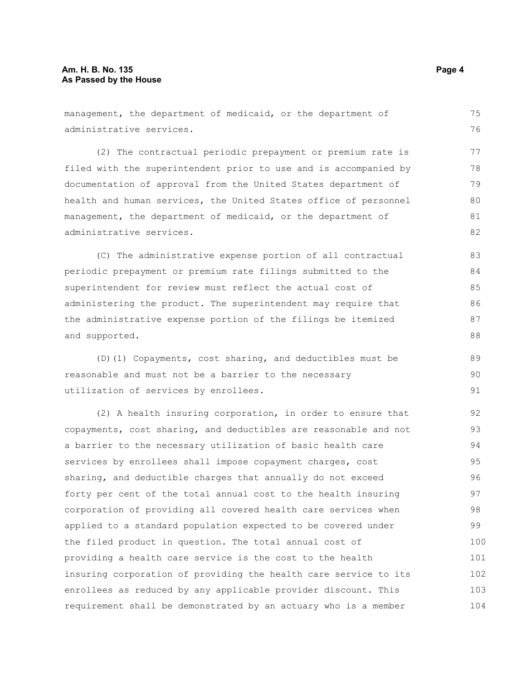management, the department of medicaid, or the department of administrative services. (2) The contractual periodic prepayment or premium rate is filed with the superintendent prior to use and is accompanied by documentation of approval from the United States department of health and human services, the United States office of personnel management, the department of medicaid, or the department of administrative services. (C) The administrative expense portion of all contractual periodic prepayment or premium rate filings submitted to the superintendent for review must reflect the actual cost of administering the product. The superintendent may require that the administrative expense portion of the filings be itemized and supported. (D)(1) Copayments, cost sharing, and deductibles must be reasonable and must not be a barrier to the necessary utilization of services by enrollees. (2) A health insuring corporation, in order to ensure that copayments, cost sharing, and deductibles are reasonable and not a barrier to the necessary utilization of basic health care services by enrollees shall impose copayment charges, cost sharing, and deductible charges that annually do not exceed forty per cent of the total annual cost to the health insuring corporation of providing all covered health care services when applied to a standard population expected to be covered under the filed product in question. The total annual cost of providing a health care service is the cost to the health insuring corporation of providing the health care service to its enrollees as reduced by any applicable provider discount. This requirement shall be demonstrated by an actuary who is a member 75 76 77 78 79 80 81 82 83 84 85 86 87 88 89 90 91 92 93 94 95 96 97 98 99 100 101 102 103

104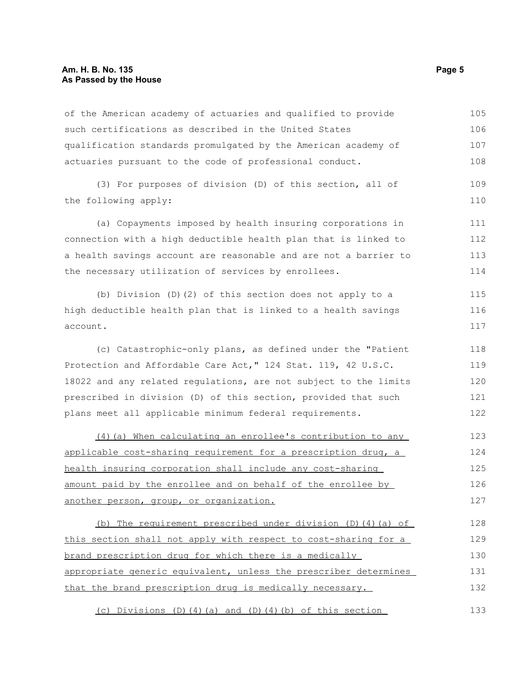of the American academy of actuaries and qualified to provide such certifications as described in the United States qualification standards promulgated by the American academy of actuaries pursuant to the code of professional conduct. 105 106 107 108

(3) For purposes of division (D) of this section, all of the following apply: 109 110

(a) Copayments imposed by health insuring corporations in connection with a high deductible health plan that is linked to a health savings account are reasonable and are not a barrier to the necessary utilization of services by enrollees. 111 112 113 114

(b) Division (D)(2) of this section does not apply to a high deductible health plan that is linked to a health savings account. 115 116 117

(c) Catastrophic-only plans, as defined under the "Patient Protection and Affordable Care Act," 124 Stat. 119, 42 U.S.C. 18022 and any related regulations, are not subject to the limits prescribed in division (D) of this section, provided that such plans meet all applicable minimum federal requirements.

(4)(a) When calculating an enrollee's contribution to any applicable cost-sharing requirement for a prescription drug, a health insuring corporation shall include any cost-sharing amount paid by the enrollee and on behalf of the enrollee by another person, group, or organization. 123 124 125 126 127

(b) The requirement prescribed under division (D)(4)(a) of this section shall not apply with respect to cost-sharing for a brand prescription drug for which there is a medically appropriate generic equivalent, unless the prescriber determines that the brand prescription drug is medically necessary. 128 129 130 131 132

(c) Divisions (D)(4)(a) and (D)(4)(b) of this section 133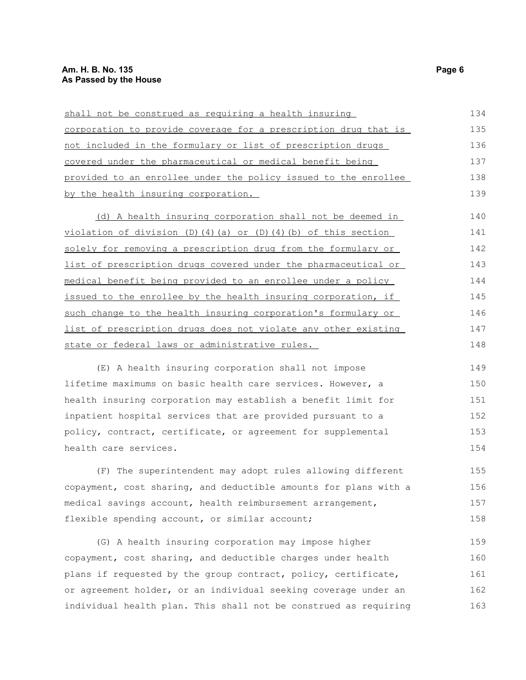| shall not be construed as requiring a health insuring                                                             | 134     |
|-------------------------------------------------------------------------------------------------------------------|---------|
| corporation to provide coverage for a prescription drug that is                                                   | 135     |
| not included in the formulary or list of prescription drugs                                                       | 136     |
| covered under the pharmaceutical or medical benefit being                                                         | 137     |
| provided to an enrollee under the policy issued to the enrollee                                                   | 138     |
| by the health insuring corporation.                                                                               | 139     |
| (d) A health insuring corporation shall not be deemed in                                                          | 140     |
| violation of division (D)(4)(a) or (D)(4)(b) of this section                                                      | 141     |
| solely for removing a prescription drug from the formulary or                                                     | 142     |
| list of prescription drugs covered under the pharmaceutical or                                                    | 143     |
| medical benefit being provided to an enrollee under a policy                                                      | 144     |
| issued to the enrollee by the health insuring corporation, if                                                     | 145     |
| such change to the health insuring corporation's formulary or                                                     | 146     |
| list of prescription drugs does not violate any other existing                                                    | 147     |
| state or federal laws or administrative rules.                                                                    | 148     |
| (E) A health insuring corporation shall not impose                                                                | 149     |
| lifetime maximums on basic health care services. However, a                                                       | 150     |
| health insuring corporation may establish a benefit limit for                                                     | 151     |
| inpatient hospital services that are provided pursuant to a                                                       | 152     |
| policy, contract, certificate, or agreement for supplemental                                                      | 153     |
| health care services.                                                                                             | 154     |
| (F) The superintendent may adopt rules allowing different                                                         | 155     |
| copayment, cost sharing, and deductible amounts for plans with a                                                  | 156     |
| medical savings account, health reimbursement arrangement,                                                        | 157     |
| flexible spending account, or similar account;                                                                    | 158     |
| $\overline{a}$ and $\overline{a}$ is the state of the state of the state of the state of the state $\overline{a}$ | $1 - 0$ |

(G) A health insuring corporation may impose higher copayment, cost sharing, and deductible charges under health plans if requested by the group contract, policy, certificate, or agreement holder, or an individual seeking coverage under an individual health plan. This shall not be construed as requiring 159 160 161 162 163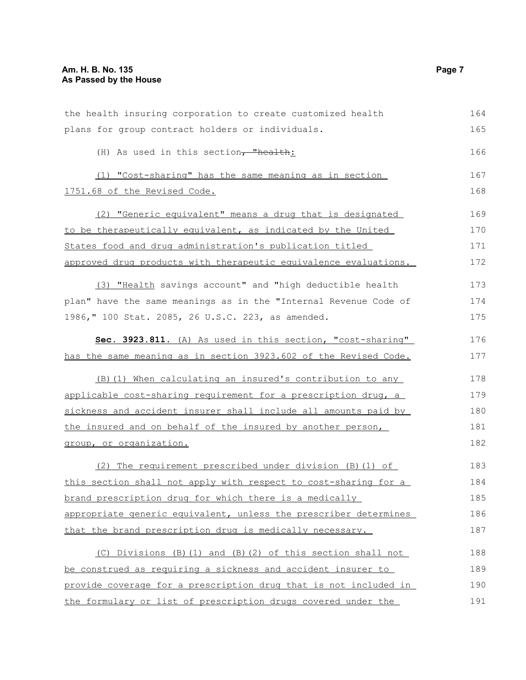| the health insuring corporation to create customized health      |     |
|------------------------------------------------------------------|-----|
| plans for group contract holders or individuals.                 | 165 |
| (H) As used in this section, "health:                            | 166 |
| (1) "Cost-sharing" has the same meaning as in section            | 167 |
| 1751.68 of the Revised Code.                                     |     |
| (2) "Generic equivalent" means a drug that is designated         | 169 |
| to be therapeutically equivalent, as indicated by the United     | 170 |
| States food and drug administration's publication titled         | 171 |
| approved drug products with therapeutic equivalence evaluations. | 172 |
| (3) "Health savings account" and "high deductible health         | 173 |
| plan" have the same meanings as in the "Internal Revenue Code of | 174 |
| 1986, " 100 Stat. 2085, 26 U.S.C. 223, as amended.               | 175 |
| Sec. 3923.811. (A) As used in this section, "cost-sharing"       | 176 |
| has the same meaning as in section 3923.602 of the Revised Code. | 177 |
| (B) (1) When calculating an insured's contribution to any        | 178 |
| applicable cost-sharing requirement for a prescription drug, a   | 179 |
| sickness and accident insurer shall include all amounts paid by  | 180 |
| the insured and on behalf of the insured by another person,      | 181 |
| group, or organization.                                          | 182 |
| (2) The requirement prescribed under division (B) (1) of         | 183 |
| this section shall not apply with respect to cost-sharing for a  | 184 |
| brand prescription drug for which there is a medically           | 185 |
| appropriate generic equivalent, unless the prescriber determines | 186 |
| that the brand prescription drug is medically necessary.         | 187 |
| (C) Divisions (B)(1) and (B)(2) of this section shall not        | 188 |
| be construed as requiring a sickness and accident insurer to     | 189 |
| provide coverage for a prescription drug that is not included in | 190 |
| the formulary or list of prescription drugs covered under the    | 191 |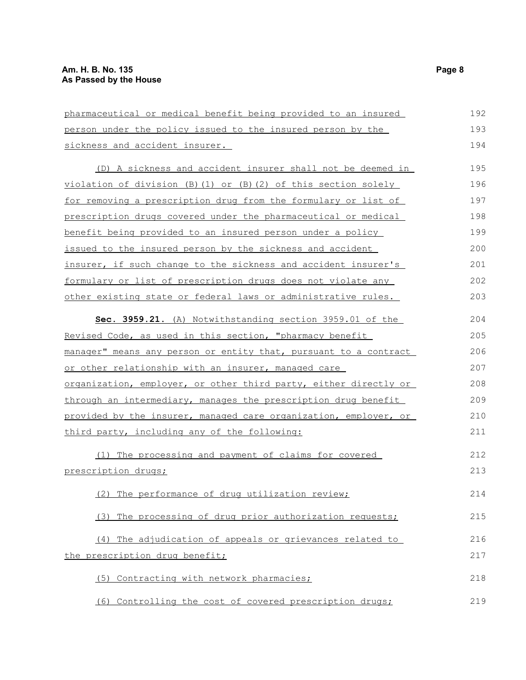| pharmaceutical or medical benefit being provided to an insured      | 192 |
|---------------------------------------------------------------------|-----|
| person under the policy issued to the insured person by the         |     |
| sickness and accident insurer.                                      | 194 |
| (D) A sickness and accident insurer shall not be deemed in          | 195 |
| $violation of division (B) (1) or (B) (2) of this section solely$   | 196 |
| for removing a prescription drug from the formulary or list of      | 197 |
| prescription drugs covered under the pharmaceutical or medical      | 198 |
| benefit being provided to an insured person under a policy          | 199 |
| issued to the insured person by the sickness and accident           | 200 |
| insurer, if such change to the sickness and accident insurer's      | 201 |
| <u>formulary or list of prescription drugs does not violate any</u> | 202 |
| other existing state or federal laws or administrative rules.       | 203 |
| Sec. 3959.21. (A) Notwithstanding section 3959.01 of the            | 204 |
| Revised Code, as used in this section, "pharmacy benefit            | 205 |
| manager" means any person or entity that, pursuant to a contract    | 206 |
| or other relationship with an insurer, managed care                 | 207 |
| organization, employer, or other third party, either directly or    | 208 |
| through an intermediary, manages the prescription drug benefit      | 209 |
| provided by the insurer, managed care organization, employer, or    | 210 |
| third party, including any of the following:                        | 211 |
| (1) The processing and payment of claims for covered                | 212 |
| prescription drugs;                                                 | 213 |
| (2) The performance of drug utilization review;                     | 214 |
| (3) The processing of drug prior authorization requests;            | 215 |
| (4) The adjudication of appeals or grievances related to            | 216 |
| the prescription drug benefit;                                      | 217 |
| (5) Contracting with network pharmacies;                            | 218 |
| (6) Controlling the cost of covered prescription drugs;             | 219 |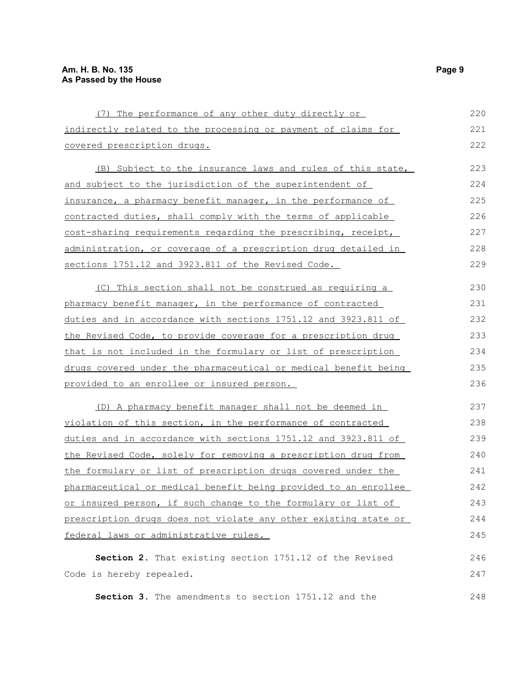| (7) The performance of any other duty directly or               | 220 |
|-----------------------------------------------------------------|-----|
| indirectly related to the processing or payment of claims for   | 221 |
| covered prescription drugs.                                     | 222 |
| (B) Subject to the insurance laws and rules of this state,      | 223 |
| and subject to the jurisdiction of the superintendent of        | 224 |
| insurance, a pharmacy benefit manager, in the performance of    | 225 |
| contracted duties, shall comply with the terms of applicable    | 226 |
| cost-sharing requirements regarding the prescribing, receipt,   | 227 |
| administration, or coverage of a prescription drug detailed in  | 228 |
| sections 1751.12 and 3923.811 of the Revised Code.              | 229 |
| (C) This section shall not be construed as requiring a          | 230 |
| pharmacy benefit manager, in the performance of contracted      | 231 |
| duties and in accordance with sections 1751.12 and 3923.811 of  | 232 |
| the Revised Code, to provide coverage for a prescription drug   | 233 |
| that is not included in the formulary or list of prescription   | 234 |
| drugs covered under the pharmaceutical or medical benefit being | 235 |
| provided to an enrollee or insured person.                      | 236 |
| (D) A pharmacy benefit manager shall not be deemed in           | 237 |
| violation of this section, in the performance of contracted     | 238 |
| duties and in accordance with sections 1751.12 and 3923.811 of  | 239 |
| the Revised Code, solely for removing a prescription drug from  | 240 |
| the formulary or list of prescription drugs covered under the   | 241 |
| pharmaceutical or medical benefit being provided to an enrollee | 242 |
| or insured person, if such change to the formulary or list of   | 243 |
| prescription drugs does not violate any other existing state or | 244 |
| federal laws or administrative rules.                           | 245 |
| Section 2. That existing section 1751.12 of the Revised         | 246 |
| Code is hereby repealed.                                        | 247 |
| Section 3. The amendments to section 1751.12 and the            | 248 |